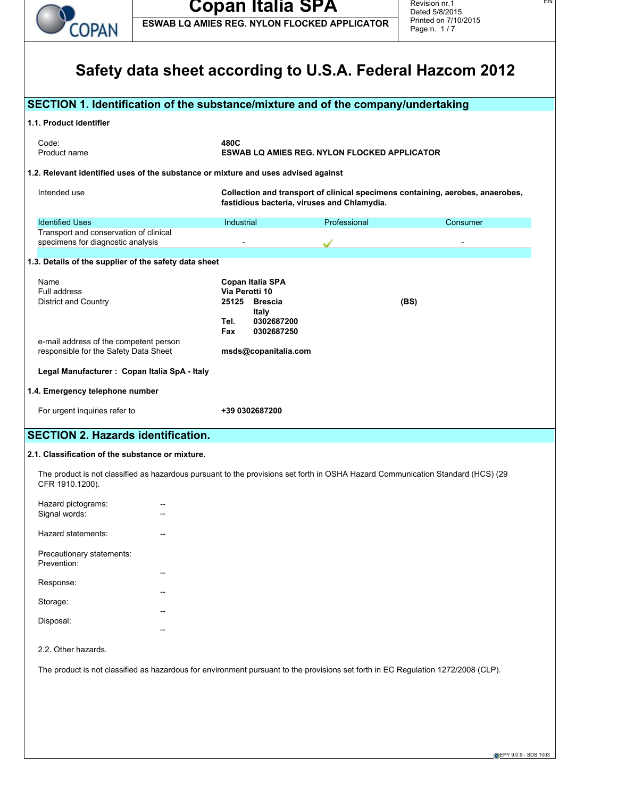

**ESWAB LQ AMIES REG. NYLON FLOCKED APPLICATOR**

EN

|                                                                                                                                                    |                                         |                                                                                                                               | Safety data sheet according to U.S.A. Federal Hazcom 2012 |  |
|----------------------------------------------------------------------------------------------------------------------------------------------------|-----------------------------------------|-------------------------------------------------------------------------------------------------------------------------------|-----------------------------------------------------------|--|
| SECTION 1. Identification of the substance/mixture and of the company/undertaking                                                                  |                                         |                                                                                                                               |                                                           |  |
| 1.1. Product identifier                                                                                                                            |                                         |                                                                                                                               |                                                           |  |
| Code:<br>Product name                                                                                                                              | 480C                                    | <b>ESWAB LQ AMIES REG. NYLON FLOCKED APPLICATOR</b>                                                                           |                                                           |  |
| 1.2. Relevant identified uses of the substance or mixture and uses advised against                                                                 |                                         |                                                                                                                               |                                                           |  |
| Intended use                                                                                                                                       |                                         | Collection and transport of clinical specimens containing, aerobes, anaerobes,<br>fastidious bacteria, viruses and Chlamydia. |                                                           |  |
| <b>Identified Uses</b>                                                                                                                             | Industrial                              | Professional                                                                                                                  | Consumer                                                  |  |
| Transport and conservation of clinical<br>specimens for diagnostic analysis                                                                        |                                         |                                                                                                                               |                                                           |  |
| 1.3. Details of the supplier of the safety data sheet                                                                                              |                                         |                                                                                                                               |                                                           |  |
| Name                                                                                                                                               | Copan Italia SPA                        |                                                                                                                               |                                                           |  |
| Full address<br>District and Country                                                                                                               | Via Perotti 10<br>25125 Brescia         |                                                                                                                               | (BS)                                                      |  |
|                                                                                                                                                    | Italy                                   |                                                                                                                               |                                                           |  |
|                                                                                                                                                    | 0302687200<br>Tel.<br>0302687250<br>Fax |                                                                                                                               |                                                           |  |
| e-mail address of the competent person<br>responsible for the Safety Data Sheet                                                                    | msds@copanitalia.com                    |                                                                                                                               |                                                           |  |
| Legal Manufacturer : Copan Italia SpA - Italy                                                                                                      |                                         |                                                                                                                               |                                                           |  |
| 1.4. Emergency telephone number                                                                                                                    |                                         |                                                                                                                               |                                                           |  |
| For urgent inquiries refer to                                                                                                                      | +39 0302687200                          |                                                                                                                               |                                                           |  |
|                                                                                                                                                    |                                         |                                                                                                                               |                                                           |  |
| <b>SECTION 2. Hazards identification.</b>                                                                                                          |                                         |                                                                                                                               |                                                           |  |
| 2.1. Classification of the substance or mixture.                                                                                                   |                                         |                                                                                                                               |                                                           |  |
| The product is not classified as hazardous pursuant to the provisions set forth in OSHA Hazard Communication Standard (HCS) (29<br>CFR 1910.1200). |                                         |                                                                                                                               |                                                           |  |
| Hazard pictograms:                                                                                                                                 |                                         |                                                                                                                               |                                                           |  |
| Signal words:                                                                                                                                      |                                         |                                                                                                                               |                                                           |  |
| Hazard statements:                                                                                                                                 |                                         |                                                                                                                               |                                                           |  |
| Precautionary statements:<br>Prevention:                                                                                                           |                                         |                                                                                                                               |                                                           |  |
| Response:                                                                                                                                          |                                         |                                                                                                                               |                                                           |  |
| Storage:                                                                                                                                           |                                         |                                                                                                                               |                                                           |  |
| Disposal:                                                                                                                                          |                                         |                                                                                                                               |                                                           |  |
|                                                                                                                                                    |                                         |                                                                                                                               |                                                           |  |
| 2.2. Other hazards.                                                                                                                                |                                         |                                                                                                                               |                                                           |  |
| The product is not classified as hazardous for environment pursuant to the provisions set forth in EC Regulation 1272/2008 (CLP).                  |                                         |                                                                                                                               |                                                           |  |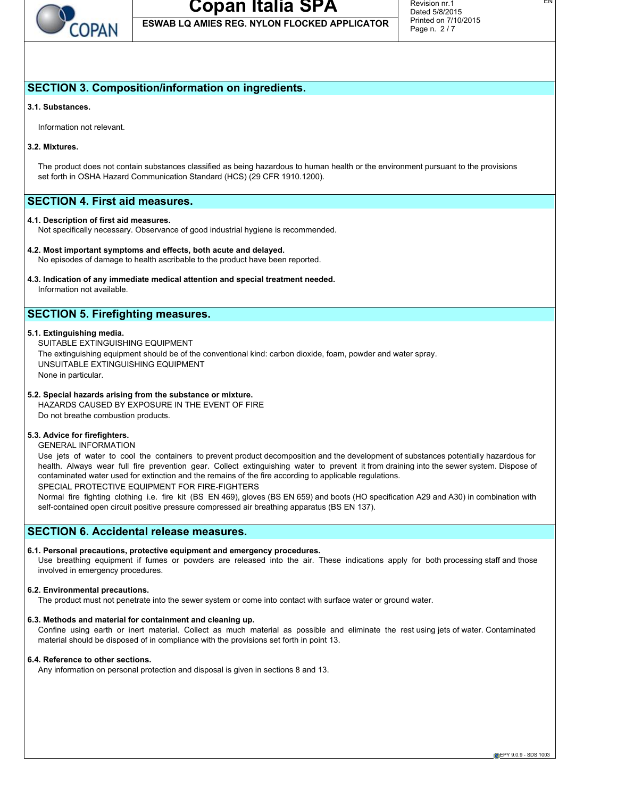

**ESWAB LQ AMIES REG. NYLON FLOCKED APPLICATOR**

EN

## **SECTION 3. Composition/information on ingredients.**

#### **3.1. Substances.**

Information not relevant.

#### **3.2. Mixtures.**

The product does not contain substances classified as being hazardous to human health or the environment pursuant to the provisions set forth in OSHA Hazard Communication Standard (HCS) (29 CFR 1910.1200).

## **SECTION 4. First aid measures.**

#### **4.1. Description of first aid measures.**

Not specifically necessary. Observance of good industrial hygiene is recommended.

#### **4.2. Most important symptoms and effects, both acute and delayed.**

No episodes of damage to health ascribable to the product have been reported.

#### **4.3. Indication of any immediate medical attention and special treatment needed.** Information not available.

## **SECTION 5. Firefighting measures.**

#### **5.1. Extinguishing media.**

SUITABLE EXTINGUISHING EQUIPMENT The extinguishing equipment should be of the conventional kind: carbon dioxide, foam, powder and water spray. UNSUITABLE EXTINGUISHING EQUIPMENT None in particular.

#### **5.2. Special hazards arising from the substance or mixture.**

HAZARDS CAUSED BY EXPOSURE IN THE EVENT OF FIRE Do not breathe combustion products.

#### **5.3. Advice for firefighters.**

GENERAL INFORMATION

Use jets of water to cool the containers to prevent product decomposition and the development of substances potentially hazardous for health. Always wear full fire prevention gear. Collect extinguishing water to prevent it from draining into the sewer system. Dispose of contaminated water used for extinction and the remains of the fire according to applicable regulations.

SPECIAL PROTECTIVE EQUIPMENT FOR FIRE-FIGHTERS

Normal fire fighting clothing i.e. fire kit (BS EN 469), gloves (BS EN 659) and boots (HO specification A29 and A30) in combination with self-contained open circuit positive pressure compressed air breathing apparatus (BS EN 137).

## **SECTION 6. Accidental release measures.**

#### **6.1. Personal precautions, protective equipment and emergency procedures.**

Use breathing equipment if fumes or powders are released into the air. These indications apply for both processing staff and those involved in emergency procedures.

#### **6.2. Environmental precautions.**

The product must not penetrate into the sewer system or come into contact with surface water or ground water.

#### **6.3. Methods and material for containment and cleaning up.**

Confine using earth or inert material. Collect as much material as possible and eliminate the rest using jets of water. Contaminated material should be disposed of in compliance with the provisions set forth in point 13.

#### **6.4. Reference to other sections.**

Any information on personal protection and disposal is given in sections 8 and 13.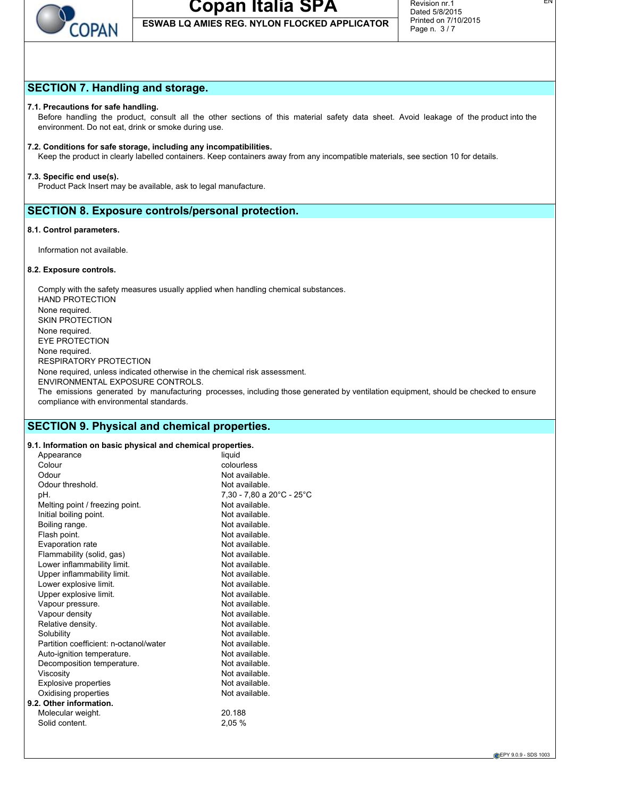

**ESWAB LQ AMIES REG. NYLON FLOCKED APPLICATOR**

EN

## **SECTION 7. Handling and storage.**

#### **7.1. Precautions for safe handling.**

Before handling the product, consult all the other sections of this material safety data sheet. Avoid leakage of the product into the environment. Do not eat, drink or smoke during use.

#### **7.2. Conditions for safe storage, including any incompatibilities.**

Keep the product in clearly labelled containers. Keep containers away from any incompatible materials, see section 10 for details.

#### **7.3. Specific end use(s).**

Product Pack Insert may be available, ask to legal manufacture.

### **SECTION 8. Exposure controls/personal protection.**

#### **8.1. Control parameters.**

Information not available.

#### **8.2. Exposure controls.**

Comply with the safety measures usually applied when handling chemical substances. HAND PROTECTION None required. SKIN PROTECTION None required. EYE PROTECTION None required. RESPIRATORY PROTECTION None required, unless indicated otherwise in the chemical risk assessment. ENVIRONMENTAL EXPOSURE CONTROLS. The emissions generated by manufacturing processes, including those generated by ventilation equipment, should be checked to ensure compliance with environmental standards.

### **SECTION 9. Physical and chemical properties.**

## **9.1. Information on basic physical and chemical properties.**

| 9. 1. milomaalon on basic physical and chemical properties. |                           |
|-------------------------------------------------------------|---------------------------|
| Appearance                                                  | liquid                    |
| Colour                                                      | colourless                |
| Odour                                                       | Not available.            |
| Odour threshold.                                            | Not available.            |
| pH.                                                         | 7,30 - 7,80 a 20°C - 25°C |
| Melting point / freezing point.                             | Not available             |
| Initial boiling point.                                      | Not available.            |
| Boiling range.                                              | Not available.            |
| Flash point.                                                | Not available.            |
| Evaporation rate                                            | Not available.            |
| Flammability (solid, gas)                                   | Not available.            |
| Lower inflammability limit.                                 | Not available.            |
| Upper inflammability limit.                                 | Not available.            |
| Lower explosive limit.                                      | Not available.            |
| Upper explosive limit.                                      | Not available.            |
| Vapour pressure.                                            | Not available.            |
| Vapour density                                              | Not available.            |
| Relative density.                                           | Not available             |
| Solubility                                                  | Not available.            |
| Partition coefficient: n-octanol/water                      | Not available.            |
| Auto-ignition temperature.                                  | Not available.            |
| Decomposition temperature.                                  | Not available.            |
| Viscosity                                                   | Not available.            |
| <b>Explosive properties</b>                                 | Not available.            |
| Oxidising properties                                        | Not available.            |
| 9.2. Other information.                                     |                           |
| Molecular weight.                                           | 20.188                    |
| Solid content.                                              | 2,05 %                    |
|                                                             |                           |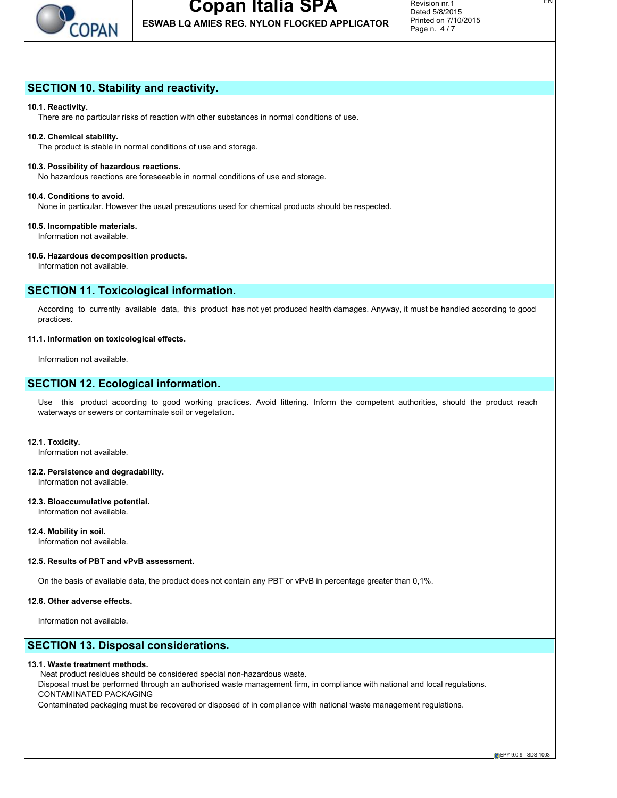

**ESWAB LQ AMIES REG. NYLON FLOCKED APPLICATOR**

## **SECTION 10. Stability and reactivity.**

#### **10.1. Reactivity.**

There are no particular risks of reaction with other substances in normal conditions of use.

#### **10.2. Chemical stability.**

The product is stable in normal conditions of use and storage.

#### **10.3. Possibility of hazardous reactions.**

No hazardous reactions are foreseeable in normal conditions of use and storage.

#### **10.4. Conditions to avoid.**

None in particular. However the usual precautions used for chemical products should be respected.

#### **10.5. Incompatible materials.**

Information not available.

#### **10.6. Hazardous decomposition products.**

Information not available.

## **SECTION 11. Toxicological information.**

According to currently available data, this product has not yet produced health damages. Anyway, it must be handled according to good practices.

#### **11.1. Information on toxicological effects.**

Information not available.

## **SECTION 12. Ecological information.**

Use this product according to good working practices. Avoid littering. Inform the competent authorities, should the product reach waterways or sewers or contaminate soil or vegetation.

#### **12.1. Toxicity.**

Information not available.

#### **12.2. Persistence and degradability.** Information not available.

#### **12.3. Bioaccumulative potential.** Information not available.

**12.4. Mobility in soil.** Information not available.

#### **12.5. Results of PBT and vPvB assessment.**

On the basis of available data, the product does not contain any PBT or vPvB in percentage greater than 0,1%.

#### **12.6. Other adverse effects.**

Information not available.

## **SECTION 13. Disposal considerations.**

#### **13.1. Waste treatment methods.**

Neat product residues should be considered special non-hazardous waste.

Disposal must be performed through an authorised waste management firm, in compliance with national and local regulations. CONTAMINATED PACKAGING

Contaminated packaging must be recovered or disposed of in compliance with national waste management regulations.

**EPY 9.0.9 - SDS 1003**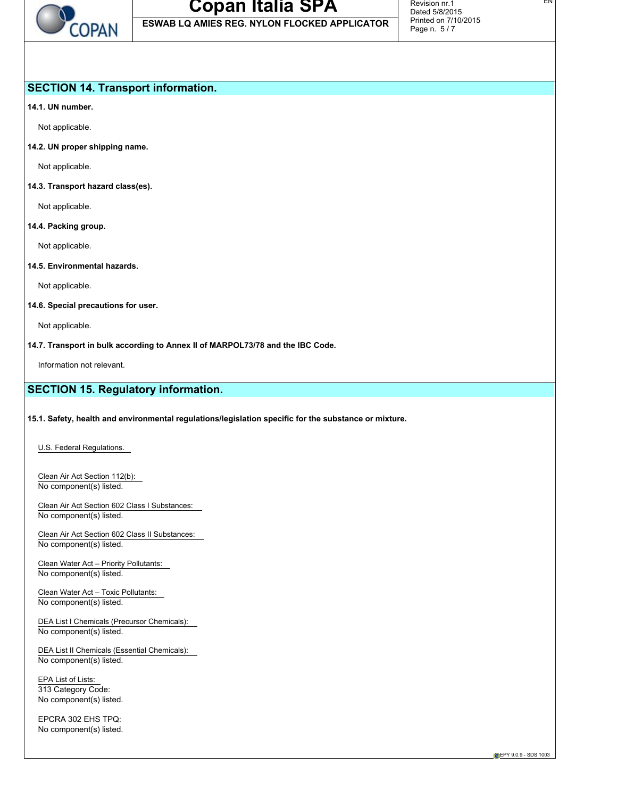

**ESWAB LQ AMIES REG. NYLON FLOCKED APPLICATOR**

## **SECTION 14. Transport information.**

**14.1. UN number.**

Not applicable.

**14.2. UN proper shipping name.**

Not applicable.

**14.3. Transport hazard class(es).**

Not applicable.

#### **14.4. Packing group.**

Not applicable.

**14.5. Environmental hazards.**

Not applicable.

#### **14.6. Special precautions for user.**

Not applicable.

**14.7. Transport in bulk according to Annex II of MARPOL73/78 and the IBC Code.**

Information not relevant.

## **SECTION 15. Regulatory information.**

#### **15.1. Safety, health and environmental regulations/legislation specific for the substance or mixture.**

U.S. Federal Regulations.

Clean Air Act Section 112(b): No component(s) listed.

Clean Air Act Section 602 Class I Substances: No component(s) listed.

Clean Air Act Section 602 Class II Substances: No component(s) listed.

Clean Water Act – Priority Pollutants: No component(s) listed.

Clean Water Act – Toxic Pollutants: No component(s) listed.

DEA List I Chemicals (Precursor Chemicals): No component(s) listed.

DEA List II Chemicals (Essential Chemicals): No component(s) listed.

EPA List of Lists: 313 Category Code: No component(s) listed.

EPCRA 302 EHS TPQ: No component(s) listed.

**CEPY 9.0.9 - SDS 1003**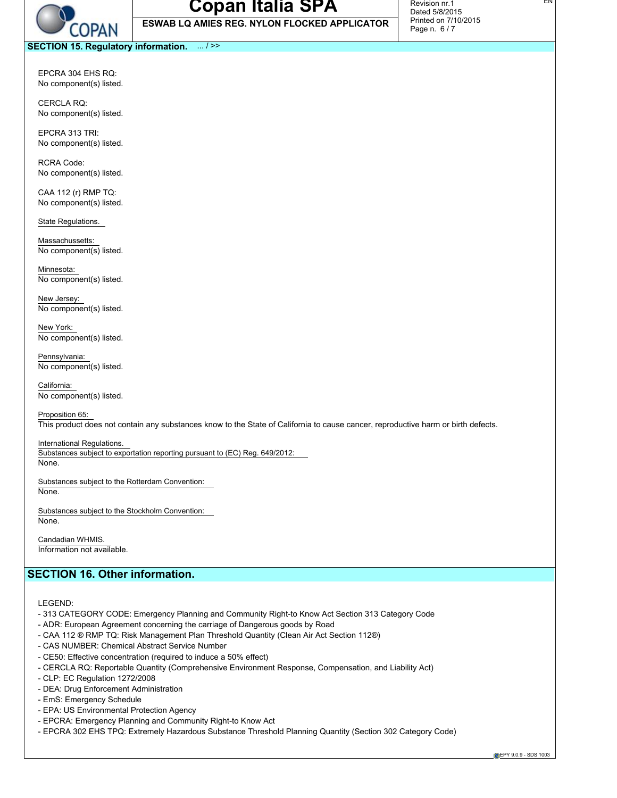

**ESWAB LQ AMIES REG. NYLON FLOCKED APPLICATOR**

EN

**SECTION 15. Regulatory information.** ... / >>

EPCRA 304 EHS RQ: No component(s) listed.

CERCLA RQ: No component(s) listed.

EPCRA 313 TRI: No component(s) listed.

RCRA Code: No component(s) listed.

CAA 112 (r) RMP TQ: No component(s) listed.

State Regulations.

Massachussetts: No component(s) listed.

Minnesota: No component(s) listed.

New Jersey: No component(s) listed.

New York: No component(s) listed.

Pennsylvania: No component(s) listed.

California: No component(s) listed.

Proposition 65:

This product does not contain any substances know to the State of California to cause cancer, reproductive harm or birth defects.

#### International Regulations.

Substances subject to exportation reporting pursuant to (EC) Reg. 649/2012: None.

Substances subject to the Rotterdam Convention:

None.

Substances subject to the Stockholm Convention: None.

Candadian WHMIS. Information not available.

## **SECTION 16. Other information.**

LEGEND:

- 313 CATEGORY CODE: Emergency Planning and Community Right-to Know Act Section 313 Category Code
- ADR: European Agreement concerning the carriage of Dangerous goods by Road
- CAA 112 ® RMP TQ: Risk Management Plan Threshold Quantity (Clean Air Act Section 112®)
- CAS NUMBER: Chemical Abstract Service Number
- CE50: Effective concentration (required to induce a 50% effect)
- CERCLA RQ: Reportable Quantity (Comprehensive Environment Response, Compensation, and Liability Act)
- CLP: EC Regulation 1272/2008
- DEA: Drug Enforcement Administration
- EmS: Emergency Schedule
- EPA: US Environmental Protection Agency
- EPCRA: Emergency Planning and Community Right-to Know Act
- EPCRA 302 EHS TPQ: Extremely Hazardous Substance Threshold Planning Quantity (Section 302 Category Code)